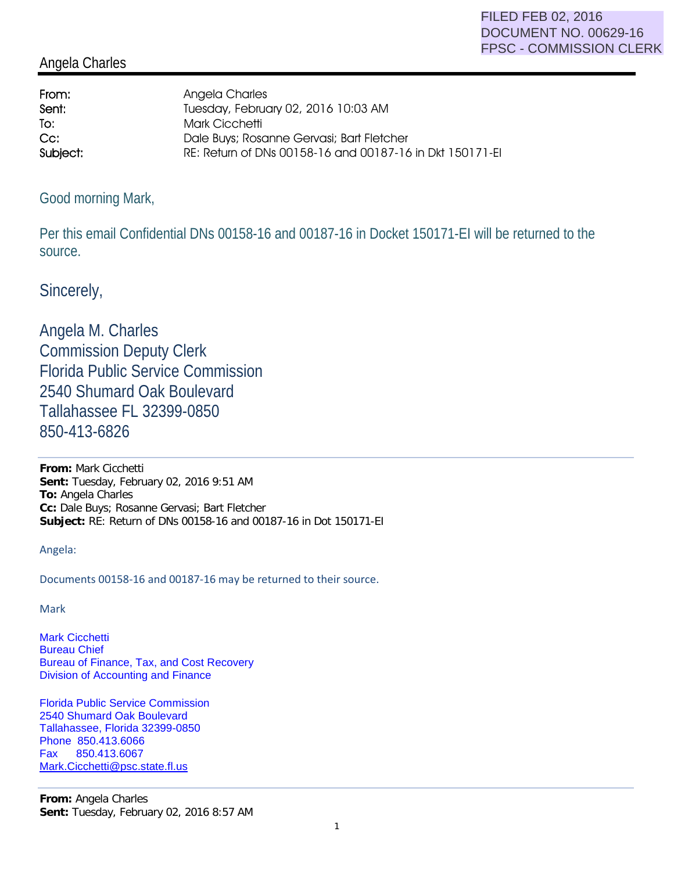## Angela Charles

| From:    | Angela Charles                                           |
|----------|----------------------------------------------------------|
| Sent:    | Tuesday, February 02, 2016 10:03 AM                      |
| To:      | <b>Mark Cicchetti</b>                                    |
| $Cc$ :   | Dale Buys; Rosanne Gervasi; Bart Fletcher                |
| Subject: | RE: Return of DNs 00158-16 and 00187-16 in Dkt 150171-EI |

## Good morning Mark,

Per this email Confidential DNs 00158-16 and 00187-16 in Docket 150171-EI will be returned to the source.

Sincerely,

Angela M. Charles Commission Deputy Clerk Florida Public Service Commission 2540 Shumard Oak Boulevard Tallahassee FL 32399-0850 850-413-6826

**From:** Mark Cicchetti **Sent:** Tuesday, February 02, 2016 9:51 AM **To:** Angela Charles **Cc:** Dale Buys; Rosanne Gervasi; Bart Fletcher **Subject:** RE: Return of DNs 00158-16 and 00187-16 in Dot 150171-EI

Angela:

Documents 00158-16 and 00187-16 may be returned to their source.

Mark

Mark Cicchetti Bureau Chief Bureau of Finance, Tax, and Cost Recovery Division of Accounting and Finance

Florida Public Service Commission 2540 Shumard Oak Boulevard Tallahassee, Florida 32399-0850 Phone 850.413.6066 Fax 850.413.6067 Mark.Cicchetti@psc.state.fl.us

**From:** Angela Charles **Sent:** Tuesday, February 02, 2016 8:57 AM